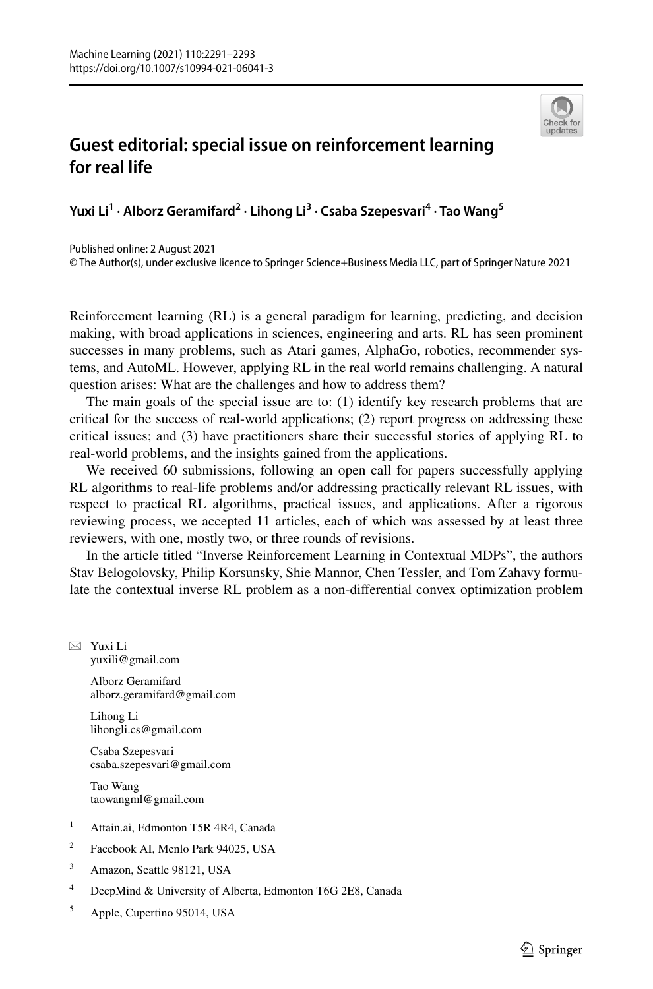

## **Guest editorial: special issue on reinforcement learning for real life**

**Yuxi Li1 · Alborz Geramifard2 · Lihong Li3 · Csaba Szepesvari4 · Tao Wang<sup>5</sup>**

Published online: 2 August 2021

© The Author(s), under exclusive licence to Springer Science+Business Media LLC, part of Springer Nature 2021

Reinforcement learning (RL) is a general paradigm for learning, predicting, and decision making, with broad applications in sciences, engineering and arts. RL has seen prominent successes in many problems, such as Atari games, AlphaGo, robotics, recommender systems, and AutoML. However, applying RL in the real world remains challenging. A natural question arises: What are the challenges and how to address them?

The main goals of the special issue are to: (1) identify key research problems that are critical for the success of real-world applications; (2) report progress on addressing these critical issues; and (3) have practitioners share their successful stories of applying RL to real-world problems, and the insights gained from the applications.

We received 60 submissions, following an open call for papers successfully applying RL algorithms to real-life problems and/or addressing practically relevant RL issues, with respect to practical RL algorithms, practical issues, and applications. After a rigorous reviewing process, we accepted 11 articles, each of which was assessed by at least three reviewers, with one, mostly two, or three rounds of revisions.

In the article titled "Inverse Reinforcement Learning in Contextual MDPs", the authors Stav Belogolovsky, Philip Korsunsky, Shie Mannor, Chen Tessler, and Tom Zahavy formulate the contextual inverse RL problem as a non-diferential convex optimization problem

 $\boxtimes$  Yuxi Li yuxili@gmail.com

> Alborz Geramifard alborz.geramifard@gmail.com

Lihong Li lihongli.cs@gmail.com

Csaba Szepesvari csaba.szepesvari@gmail.com

Tao Wang taowangml@gmail.com

- <sup>1</sup> Attain.ai, Edmonton T5R 4R4, Canada
- <sup>2</sup> Facebook AI, Menlo Park 94025, USA
- <sup>3</sup> Amazon, Seattle 98121, USA
- <sup>4</sup> DeepMind & University of Alberta, Edmonton T6G 2E8, Canada
- <sup>5</sup> Apple, Cupertino 95014, USA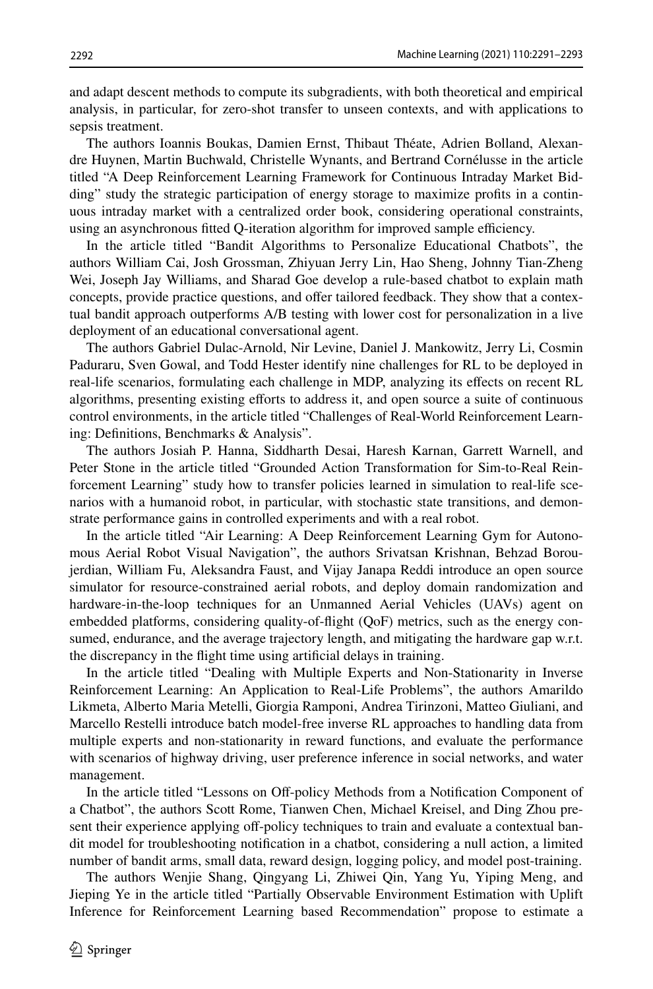and adapt descent methods to compute its subgradients, with both theoretical and empirical analysis, in particular, for zero-shot transfer to unseen contexts, and with applications to sepsis treatment.

The authors Ioannis Boukas, Damien Ernst, Thibaut Théate, Adrien Bolland, Alexandre Huynen, Martin Buchwald, Christelle Wynants, and Bertrand Cornélusse in the article titled "A Deep Reinforcement Learning Framework for Continuous Intraday Market Bidding" study the strategic participation of energy storage to maximize profts in a continuous intraday market with a centralized order book, considering operational constraints, using an asynchronous fitted Q-iteration algorithm for improved sample efficiency.

In the article titled "Bandit Algorithms to Personalize Educational Chatbots", the authors William Cai, Josh Grossman, Zhiyuan Jerry Lin, Hao Sheng, Johnny Tian-Zheng Wei, Joseph Jay Williams, and Sharad Goe develop a rule-based chatbot to explain math concepts, provide practice questions, and offer tailored feedback. They show that a contextual bandit approach outperforms A/B testing with lower cost for personalization in a live deployment of an educational conversational agent.

The authors Gabriel Dulac-Arnold, Nir Levine, Daniel J. Mankowitz, Jerry Li, Cosmin Paduraru, Sven Gowal, and Todd Hester identify nine challenges for RL to be deployed in real-life scenarios, formulating each challenge in MDP, analyzing its efects on recent RL algorithms, presenting existing eforts to address it, and open source a suite of continuous control environments, in the article titled "Challenges of Real-World Reinforcement Learning: Defnitions, Benchmarks & Analysis".

The authors Josiah P. Hanna, Siddharth Desai, Haresh Karnan, Garrett Warnell, and Peter Stone in the article titled "Grounded Action Transformation for Sim-to-Real Reinforcement Learning" study how to transfer policies learned in simulation to real-life scenarios with a humanoid robot, in particular, with stochastic state transitions, and demonstrate performance gains in controlled experiments and with a real robot.

In the article titled "Air Learning: A Deep Reinforcement Learning Gym for Autonomous Aerial Robot Visual Navigation", the authors Srivatsan Krishnan, Behzad Boroujerdian, William Fu, Aleksandra Faust, and Vijay Janapa Reddi introduce an open source simulator for resource-constrained aerial robots, and deploy domain randomization and hardware-in-the-loop techniques for an Unmanned Aerial Vehicles (UAVs) agent on embedded platforms, considering quality-of-fight (QoF) metrics, such as the energy consumed, endurance, and the average trajectory length, and mitigating the hardware gap w.r.t. the discrepancy in the fight time using artifcial delays in training.

In the article titled "Dealing with Multiple Experts and Non-Stationarity in Inverse Reinforcement Learning: An Application to Real-Life Problems", the authors Amarildo Likmeta, Alberto Maria Metelli, Giorgia Ramponi, Andrea Tirinzoni, Matteo Giuliani, and Marcello Restelli introduce batch model-free inverse RL approaches to handling data from multiple experts and non-stationarity in reward functions, and evaluate the performance with scenarios of highway driving, user preference inference in social networks, and water management.

In the article titled "Lessons on Off-policy Methods from a Notification Component of a Chatbot", the authors Scott Rome, Tianwen Chen, Michael Kreisel, and Ding Zhou present their experience applying off-policy techniques to train and evaluate a contextual bandit model for troubleshooting notifcation in a chatbot, considering a null action, a limited number of bandit arms, small data, reward design, logging policy, and model post-training.

The authors Wenjie Shang, Qingyang Li, Zhiwei Qin, Yang Yu, Yiping Meng, and Jieping Ye in the article titled "Partially Observable Environment Estimation with Uplift Inference for Reinforcement Learning based Recommendation" propose to estimate a